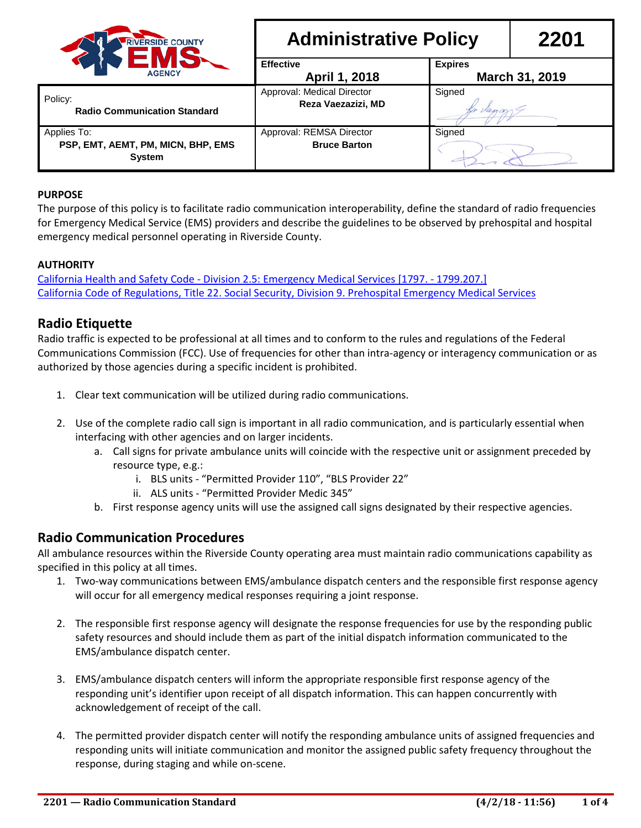

| <b>RIVERSIDE COUNTY</b><br><b>AGENCY</b>                         | <b>Administrative Policy</b>                     |                | 2201           |
|------------------------------------------------------------------|--------------------------------------------------|----------------|----------------|
|                                                                  | <b>Effective</b><br>April 1, 2018                | <b>Expires</b> | March 31, 2019 |
| icy:<br><b>Radio Communication Standard</b>                      | Approval: Medical Director<br>Reza Vaezazizi, MD | Signed         |                |
| plies To:<br>PSP, EMT, AEMT, PM, MICN, BHP, EMS<br><b>System</b> | Approval: REMSA Director<br><b>Bruce Barton</b>  | Signed         |                |

### **PURPOSE**

Policy:

Applies To:

The purpose of this policy is to facilitate radio communication interoperability, define the standard of radio frequencies for Emergency Medical Service (EMS) providers and describe the guidelines to be observed by prehospital and hospital emergency medical personnel operating in Riverside County.

#### **AUTHORITY**

California Health and Safety Code - [Division 2.5: Emergency Medical Services \[1797. -](http://www.emsa.ca.gov/Media/Default/PDF/EMSA_HSCODE_2014.pdf#View=FitV&Pagemode=Bookmarks) 1799.207.] [California Code of Regulations, Title 22. Social Security, Division 9. Prehospital Emergency Medical Services](http://www.emsa.ca.gov/Media/Default/PDF/2014%20Regulations%20Book.pdf#View=FitV&Pagemode=Bookmarks)

## **Radio Etiquette**

Radio traffic is expected to be professional at all times and to conform to the rules and regulations of the Federal Communications Commission (FCC). Use of frequencies for other than intra-agency or interagency communication or as authorized by those agencies during a specific incident is prohibited.

- 1. Clear text communication will be utilized during radio communications.
- 2. Use of the complete radio call sign is important in all radio communication, and is particularly essential when interfacing with other agencies and on larger incidents.
	- a. Call signs for private ambulance units will coincide with the respective unit or assignment preceded by resource type, e.g.:
		- i. BLS units "Permitted Provider 110", "BLS Provider 22"
		- ii. ALS units "Permitted Provider Medic 345"
	- b. First response agency units will use the assigned call signs designated by their respective agencies.

## **Radio Communication Procedures**

All ambulance resources within the Riverside County operating area must maintain radio communications capability as specified in this policy at all times.

- 1. Two-way communications between EMS/ambulance dispatch centers and the responsible first response agency will occur for all emergency medical responses requiring a joint response.
- 2. The responsible first response agency will designate the response frequencies for use by the responding public safety resources and should include them as part of the initial dispatch information communicated to the EMS/ambulance dispatch center.
- 3. EMS/ambulance dispatch centers will inform the appropriate responsible first response agency of the responding unit's identifier upon receipt of all dispatch information. This can happen concurrently with acknowledgement of receipt of the call.
- 4. The permitted provider dispatch center will notify the responding ambulance units of assigned frequencies and responding units will initiate communication and monitor the assigned public safety frequency throughout the response, during staging and while on-scene.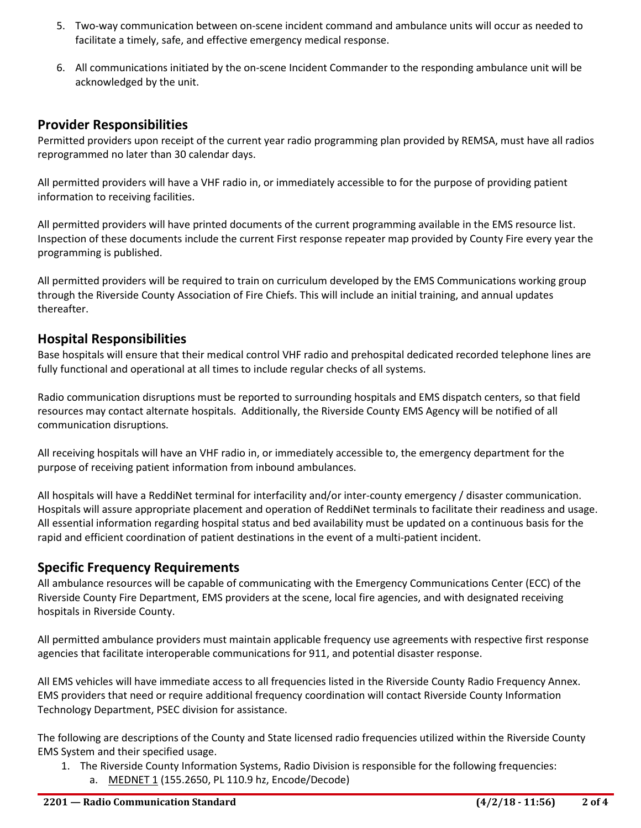- 5. Two-way communication between on-scene incident command and ambulance units will occur as needed to facilitate a timely, safe, and effective emergency medical response.
- 6. All communications initiated by the on-scene Incident Commander to the responding ambulance unit will be acknowledged by the unit.

# **Provider Responsibilities**

Permitted providers upon receipt of the current year radio programming plan provided by REMSA, must have all radios reprogrammed no later than 30 calendar days.

All permitted providers will have a VHF radio in, or immediately accessible to for the purpose of providing patient information to receiving facilities.

All permitted providers will have printed documents of the current programming available in the EMS resource list. Inspection of these documents include the current First response repeater map provided by County Fire every year the programming is published.

All permitted providers will be required to train on curriculum developed by the EMS Communications working group through the Riverside County Association of Fire Chiefs. This will include an initial training, and annual updates thereafter.

## **Hospital Responsibilities**

Base hospitals will ensure that their medical control VHF radio and prehospital dedicated recorded telephone lines are fully functional and operational at all times to include regular checks of all systems.

Radio communication disruptions must be reported to surrounding hospitals and EMS dispatch centers, so that field resources may contact alternate hospitals. Additionally, the Riverside County EMS Agency will be notified of all communication disruptions.

All receiving hospitals will have an VHF radio in, or immediately accessible to, the emergency department for the purpose of receiving patient information from inbound ambulances.

All hospitals will have a ReddiNet terminal for interfacility and/or inter-county emergency / disaster communication. Hospitals will assure appropriate placement and operation of ReddiNet terminals to facilitate their readiness and usage. All essential information regarding hospital status and bed availability must be updated on a continuous basis for the rapid and efficient coordination of patient destinations in the event of a multi-patient incident.

## **Specific Frequency Requirements**

All ambulance resources will be capable of communicating with the Emergency Communications Center (ECC) of the Riverside County Fire Department, EMS providers at the scene, local fire agencies, and with designated receiving hospitals in Riverside County.

All permitted ambulance providers must maintain applicable frequency use agreements with respective first response agencies that facilitate interoperable communications for 911, and potential disaster response.

All EMS vehicles will have immediate access to all frequencies listed in the Riverside County Radio Frequency Annex. EMS providers that need or require additional frequency coordination will contact Riverside County Information Technology Department, PSEC division for assistance.

The following are descriptions of the County and State licensed radio frequencies utilized within the Riverside County EMS System and their specified usage.

- 1. The Riverside County Information Systems, Radio Division is responsible for the following frequencies:
	- a. MEDNET 1 (155.2650, PL 110.9 hz, Encode/Decode)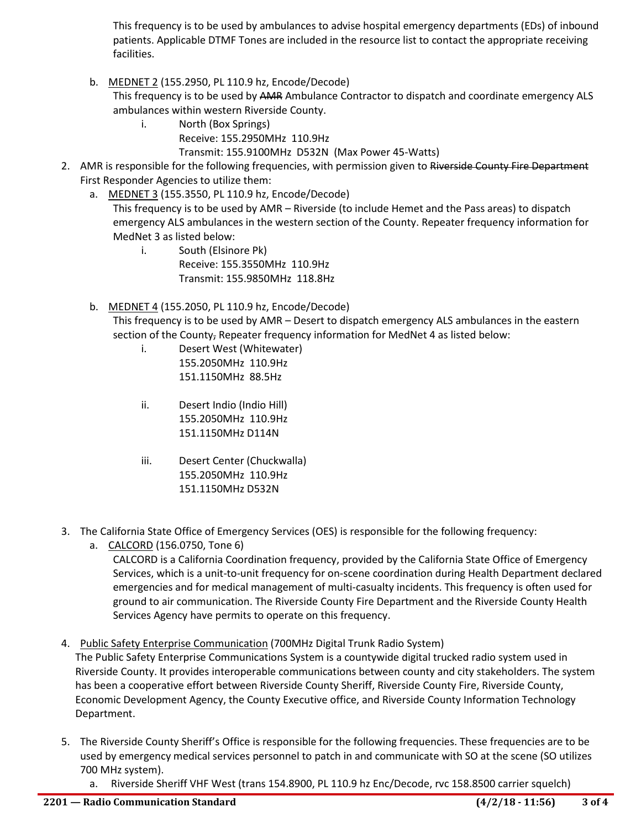This frequency is to be used by ambulances to advise hospital emergency departments (EDs) of inbound patients. Applicable DTMF Tones are included in the resource list to contact the appropriate receiving facilities.

b. MEDNET 2 (155.2950, PL 110.9 hz, Encode/Decode)

This frequency is to be used by AMR Ambulance Contractor to dispatch and coordinate emergency ALS ambulances within western Riverside County.

- i. North (Box Springs)
	- Receive: 155.2950MHz 110.9Hz

Transmit: 155.9100MHz D532N (Max Power 45-Watts)

- 2. AMR is responsible for the following frequencies, with permission given to Riverside County Fire Department First Responder Agencies to utilize them:
	- a. MEDNET 3 (155.3550, PL 110.9 hz, Encode/Decode)

This frequency is to be used by AMR – Riverside (to include Hemet and the Pass areas) to dispatch emergency ALS ambulances in the western section of the County. Repeater frequency information for MedNet 3 as listed below:

- i. South (Elsinore Pk) Receive: 155.3550MHz 110.9Hz Transmit: 155.9850MHz 118.8Hz
- b. MEDNET 4 (155.2050, PL 110.9 hz, Encode/Decode)

This frequency is to be used by AMR – Desert to dispatch emergency ALS ambulances in the eastern section of the County, Repeater frequency information for MedNet 4 as listed below:

- i. Desert West (Whitewater) 155.2050MHz 110.9Hz 151.1150MHz 88.5Hz
- ii. Desert Indio (Indio Hill) 155.2050MHz 110.9Hz 151.1150MHz D114N
- iii. Desert Center (Chuckwalla) 155.2050MHz 110.9Hz 151.1150MHz D532N
- 3. The California State Office of Emergency Services (OES) is responsible for the following frequency:
	- a. CALCORD (156.0750, Tone 6)

CALCORD is a California Coordination frequency, provided by the California State Office of Emergency Services, which is a unit-to-unit frequency for on-scene coordination during Health Department declared emergencies and for medical management of multi-casualty incidents. This frequency is often used for ground to air communication. The Riverside County Fire Department and the Riverside County Health Services Agency have permits to operate on this frequency.

4. Public Safety Enterprise Communication (700MHz Digital Trunk Radio System)

The Public Safety Enterprise Communications System is a countywide digital trucked radio system used in Riverside County. It provides interoperable communications between county and city stakeholders. The system has been a cooperative effort between Riverside County Sheriff, Riverside County Fire, Riverside County, Economic Development Agency, the County Executive office, and Riverside County Information Technology Department.

- 5. The Riverside County Sheriff's Office is responsible for the following frequencies. These frequencies are to be used by emergency medical services personnel to patch in and communicate with SO at the scene (SO utilizes 700 MHz system).
	- a. Riverside Sheriff VHF West (trans 154.8900, PL 110.9 hz Enc/Decode, rvc 158.8500 carrier squelch)